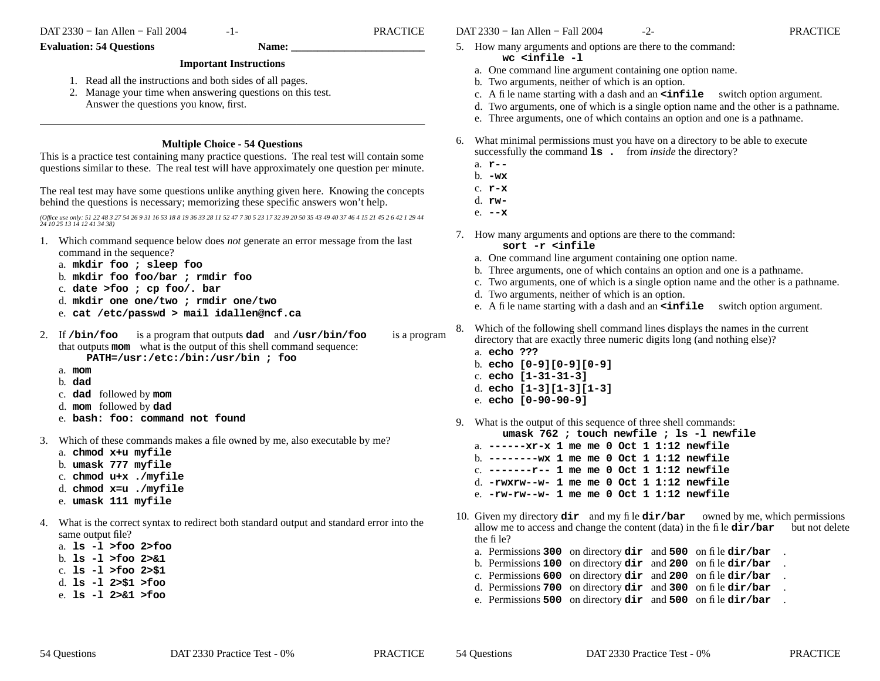-1- PRACTICE

#### **Evaluation: 54 Questions Name:**

# **Important Instructions**

- 1. Read all the instructions and both sides of all pages.
- 2. Manage your time when answering questions on this test. Answer the questions you know, first.

### **Multiple Choice - 54 Questions**

This is a practice test containing many practice questions. The real test will contain some questions similar to these. The real test will have approximately one question per minute.

The real test may have some questions unlike anything given here. Knowing the concepts behind the questions is necessary; memorizing these specific answers won't help.

*(Office use only: 51 22 48 3 27 54 26 9 31 16 53 18 8 19 36 33 28 11 52 47 7 30 5 23 17 32 39 20 50 35 43 49 40 37 46 4 15 21 45 2 6 42 1 29 44 24 10 25 13 14 12 41 34 38)*

- 1. Which command sequence below does *not* generate an error message from the last command in the sequence?
	- a. **mkdir foo ; sleep foo**
	- b. **mkdir foo foo/bar ; rmdir foo**
	- c. **date >foo ; cp foo/. bar**
	- d. **mkdir one one/two ; rmdir one/two**
	- e. **cat /etc/passwd > mail idallen@ncf.ca**
- 2. If **/bin/foo** is a program that outputs **dad** and **/usr/bin/foo** is a program that outputs **mom** what is the output of this shell command sequence: **PATH=/usr:/etc:/bin:/usr/bin ; foo**
	- a. **mom**
	- b. **dad**
	- c. **dad** followed by **mom**
	- d. **mom** followed by **dad**
	- e. **bash: foo: command not found**
- 3. Which of these commands makes a file owned by me, also executable by me?
	- a. **chmod x+u myfile**
	- b. **umask 777 myfile**
	- c. **chmod u+x ./myfile**
	- d. **chmod x=u ./myfile**
	- e. **umask 111 myfile**
- 4. What is the correct syntax to redirect both standard output and standard error into the same output file?
	- a. **ls -l >foo 2>foo**
	- b. **ls -l >foo 2>&1**
	- c. **ls -l >foo 2>\$1**
	- d. **ls -l 2>\$1 >foo**
	- e. **ls -l 2>&1 >foo**
- 5. How many arguments and options are there to the command: **wc <infile -l**
	- a. One command line argument containing one option name.
	- b. Two arguments, neither of which is an option.
	- c. A file name starting with a dash and an **<infile** switch option argument.
	- d. Two arguments, one of which is a single option name and the other is a pathname.
	- e. Three arguments, one of which contains an option and one is a pathname.
- 6. What minimal permissions must you have onadirectory to be able to execute successfully the command  $1s$ . from *inside* the directory?
	- a. **r--**
	- b. **-wx**
	- c. **r-x**
	- d. **rw-**
	- e. **--x**
- 7. How many arguments and options are there to the command: **sort -r <infile**
	- a. One command line argument containing one option name.
	- b. Three arguments, one of which contains an option and one is a pathname.
	- c. Two arguments, one of which is a single option name and the other is a pathname.
	- d. Two arguments, neither of which is an option.
	- e. A file name starting with a dash and an **<infile** switch option argument.
- 8. Which of the following shell command lines displays the names in the current directory that are exactly three numeric digits long (and nothing else)?
	- a. **echo ???**
		- b. **echo [0-9][0-9][0-9]**
		- c. **echo [1-31-31-3]**
		- d. **echo [1-3][1-3][1-3]**
		- e. **echo [0-90-90-9]**
- 9. What is the output of this sequence of three shell commands:
	- **umask 762 ; touch newfile ; ls -l newfile** a. **------xr-x 1 me me 0 Oct 1 1:12 newfile**b. **--------wx 1 me me 0 Oct 1 1:12 newfile**
	- c. **-------r-- 1 me me 0 Oct 1 1:12 newfile** d. **-rwxrw--w- 1 me me 0 Oct 1 1:12 newfile**e. **-rw-rw--w- 1 me me 0 Oct 1 1:12 newfile**
- 10. Given my directory **dir** and my file **dir/bar** owned by me, which permissions allow me to access and change the content (data) in the file **dir/bar** but not delete the file?
	- a. Permissions **300** on directory **dir** and **<sup>500</sup>** on file **dir/bar** .
	- b. Permissions **100** on directory **dir** and **<sup>200</sup>** on file **dir/bar** .
	- c. Permissions **600** on directory **dir** and **200** on file **dir/bar** .
	- d. Permissions **700** on directory **dir** and **300** on file **dir/bar** .
	- e. Permissions **500** on directory **dir** and **500** on file **dir/bar** .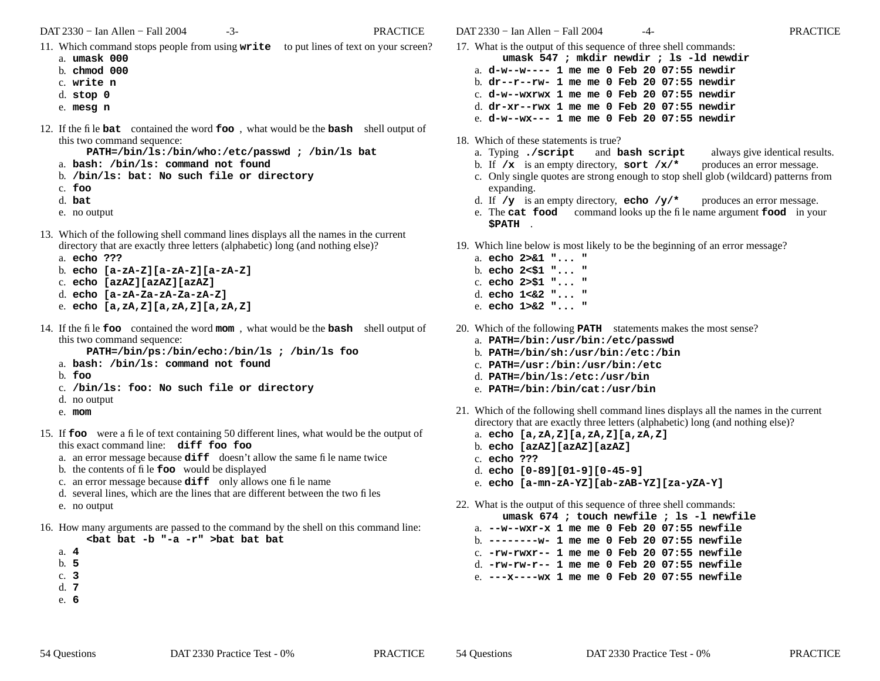- 11. Which command stops people from using **write** to put lines of text on your screen?
	- a. **umask 000**
	- b. **chmod 000**
	- c. **write n**
	- d. **stop 0**
	- e. **mesg n**
- 12. If the file **bat** contained the word **foo** , what would be the **bash** shell output of this two command sequence:

**PATH=/bin/ls:/bin/who:/etc/passwd ; /bin/ls bat**

- a. **bash: /bin/ls: command not found**
- b. **/bin/ls: bat: No such file or directory**
- c. **foo**
- d. **bat**
- e. no output
- 13. Which of the following shell command lines displays all the names in the current directory that are exactly three letters (alphabetic) long (and nothing else)?
	- a. **echo ???**

```
b. echo [a-zA-Z][a-zA-Z][a-zA-Z]
```
- c. **echo [azAZ][azAZ][azAZ]**
- d. **echo [a-zA-Za-zA-Za-zA-Z]**
- e. **echo [a,zA,Z][a,zA,Z][a,zA,Z]**
- 14. If the file **foo** contained the word **mom** , what would be the **bash** shell output of this two command sequence:

**PATH=/bin/ps:/bin/echo:/bin/ls ; /bin/ls foo**

- a. **bash: /bin/ls: command not found**
- b. **foo**
- c. **/bin/ls: foo: No such file or directory**
- d. no output
- e. **mom**
- 15. If **foo** were a file of text containing 50 different lines, what would be the output of this exact command line: **diff foo foo**
	- a. an error message because **diff** doesn't allow the same file name twice
	- b. the contents of file **foo** would be displayed
	- c. an error message because **diff** only allows one file name
	- d. several lines, which are the lines that are different between the two files
	- e. no output
- 16. How many arguments are passed to the command by the shell on this command line: **<bat bat -b "-a -r" >bat bat bat**
	- a. **4**
	- b. **5**
	- c. **3**
	- d. **7**
	- e. **6**

DAT 2330 − Ian Allen − Fall 2004 -4- PRACTICE

- 17. What is the output of this sequence of three shell commands:
	- **umask 547 ; mkdir newdir ; ls -ld newdir**
	- a. **d-w--w---- 1 me me 0 Feb 20 07:55 newdir**
	- b. **dr--r--rw- 1 me me 0 Feb 20 07:55 newdir**
	- c. **d-w--wxrwx 1 me me 0 Feb 20 07:55 newdir**
	- d. **dr-xr--rwx 1 me me 0 Feb 20 07:55 newdir**
	- e. **d-w--wx--- 1 me me 0 Feb 20 07:55 newdir**
- 18. Which of these statements is true?
	- a. Typing **./script** and **bash script** always give identical results.
	- b. If **/x** is an empty directory, **sort /x/\*** produces an error message.
	- c. Only single quotes are strong enough to stop shell glob (wildcard) patterns from expanding.
	- d. If **/y** is an empty directory, **echo /y/\*** produces an error message.
	- e. The **cat food** command looks up the file name argument **food** in your **\$PATH** .
- 19. Which line below is most likely to be the beginning of an error message?
	- a. **echo 2>&1 "... "** b. **echo 2<\$1 "... "** c. **echo 2>\$1 "... "**
	- d. **echo 1<&2 "... "**
	- e. **echo 1>&2 "... "**
- 20. Which of the following **PATH** statements makes the most sense?
	- a. **PATH=/bin:/usr/bin:/etc/passwd**
	- b. **PATH=/bin/sh:/usr/bin:/etc:/bin**
	- c. **PATH=/usr:/bin:/usr/bin:/etc**
	- d. **PATH=/bin/ls:/etc:/usr/bin**
	- e. **PATH=/bin:/bin/cat:/usr/bin**
- 21. Which of the following shell command lines displays all the names in the current directory that are exactly three letters (alphabetic) long (and nothing else)?
	- a. **echo [a,zA,Z][a,zA,Z][a,zA,Z]**
	- b. **echo [azAZ][azAZ][azAZ]**
	- c. **echo ???**
	- d. **echo [0-89][01-9][0-45-9]**
	- e. **echo [a-mn-zA-YZ][ab-zAB-YZ][za-yZA-Y]**
- 22. What is the output of this sequence of three shell commands:
	- **umask 674 ; touch newfile ; ls -l newfile**
	- a. **--w--wxr-x 1 me me 0 Feb 20 07:55 newfile**
	- b. **--------w- 1 me me 0 Feb 20 07:55 newfile**
	- c. **-rw-rwxr-- 1 me me 0 Feb 20 07:55 newfile**
	- d. **-rw-rw-r-- 1 me me 0 Feb 20 07:55 newfile**
	- e. **---x----wx 1 me me 0 Feb 20 07:55 newfile**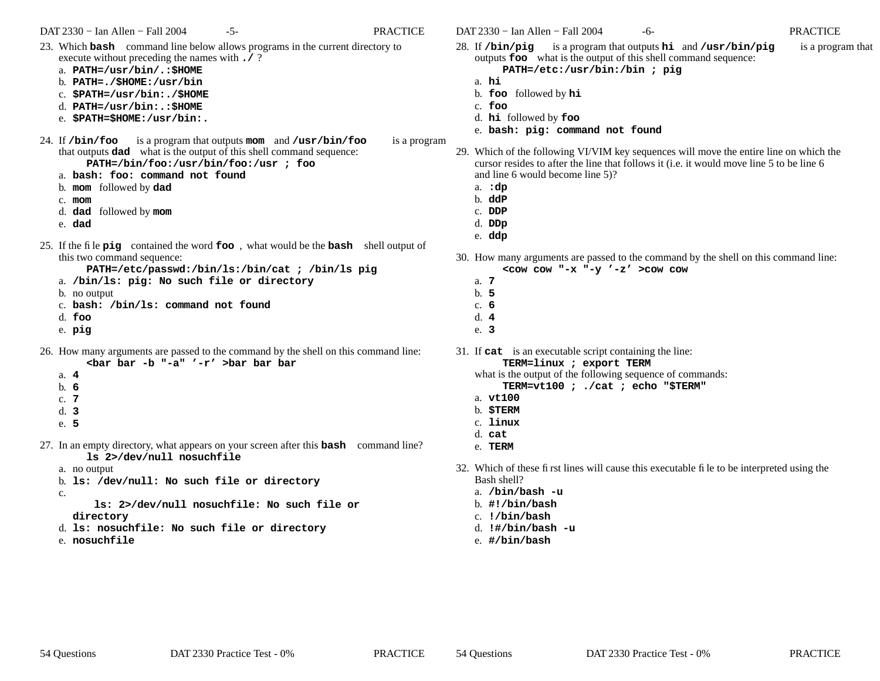- 23. Which **bash** command line below allows programs in the current directory to execute without preceding the names with **./** ?
	- a. **PATH=/usr/bin/.:\$HOME**
	- b. **PATH=./\$HOME:/usr/bin**
	- c. **\$PATH=/usr/bin:./\$HOME**
	- d. **PATH=/usr/bin:.:\$HOME**
	- e. **\$PATH=\$HOME:/usr/bin:.**
- 24. If **/bin/foo** is a program that outputs **mom** and **/usr/bin/foo** is a program that outputs **dad** what is the output of this shell command sequence:
	- **PATH=/bin/foo:/usr/bin/foo:/usr ; foo**
	- a. **bash: foo: command not found**
	- b. **mom** followed by **dad**
	- c. **mom**
	- d. **dad** followed by **mom**
	- e. **dad**
- 25. If the file **pig** contained the word **foo** , what would be the **bash** shell output of this two command sequence:
	- **PATH=/etc/passwd:/bin/ls:/bin/cat ; /bin/ls pig**
	- a. **/bin/ls: pig: No such file or directory**
	- b. no output
	- c. **bash: /bin/ls: command not found**
	- d. **foo**
	- e. **pig**
- 26. How many arguments are passed to the command by the shell on this command line: **<bar bar -b "-a" '-r' >bar bar bar**
	- a. **4**
	- b. **6**
	- c. **7**
	-
	- d. **3**
	- e. **5**
- 27. In an empty directory, what appears on your screen after this **bash** command line? **ls 2>/dev/null nosuchfile**
	- a. no output
	- b. **ls: /dev/null: No such file or directory**
	- c.
- **ls: 2>/dev/null nosuchfile: No such file or directory**
- d. **ls: nosuchfile: No such file or directory**
- e. **nosuchfile**

DAT 2330 − Ian Allen − Fall 2004 -6- contractive property of the PRACTICE

- 28. If **/bin/pig** is a program that outputs **hi** and **/usr/bin/pig** is a program that outputs **foo** what is the output of this shell command sequence: **PATH=/etc:/usr/bin:/bin ; pig**
	- a. **hi**
	- b. **foo** followed by **hi**
	- c. **foo**
	- d. **hi** followed by **foo**
	- e. **bash: pig: command not found**
- 29. Which of the following VI/VIM key sequences will move the entire line on which the cursor resides to after the line that follows it (i.e. it would move line 5 to be line 6 and line 6 would become line 5)?
	- a. **:dp**
	- b. **ddP**
	- c. **DDP**
	- d. **DDp**
	- e. **ddp**
- 30. How many arguments are passed to the command by the shell on this command line: **<cow cow "-x "-y '-z' >cow cow**
	- a. **7**
	- b. **5**
	- c. **6**
	- d. **4**
	- e. **3**

31. If **cat** is an executable script containing the line:

**TERM=linux ; export TERM**

what is the output of the following sequence of commands:

- **TERM=vt100 ; ./cat ; echo "\$TERM"**
- a. **vt100**
- b. **\$TERM**
- c. **linux**
- d. **cat**
- e. **TERM**
- 32. Which of these first lines will cause this executable file to be interpreted using the Bash shell?
	- a. **/bin/bash -u**
	- b. **#!/bin/bash**
	- c. **!/bin/bash**
	- d. **!#/bin/bash -u**
	- e. **#/bin/bash**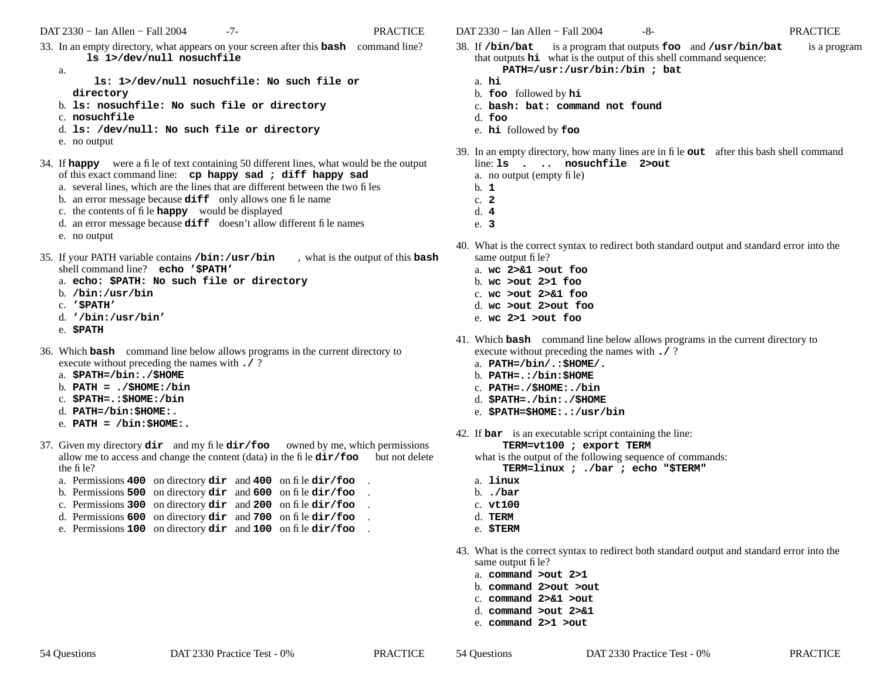- 33. In an empty directory, what appears on your screen after this **bash** command line? **ls 1>/dev/null nosuchfile**
	- a.

**ls: 1>/dev/null nosuchfile: No such file or directory**

- b. **ls: nosuchfile: No such file or directory**
- c. **nosuchfile**
- d. **ls: /dev/null: No such file or directory**
- e. no output
- 34. If **happy** were a file of text containing 50 different lines, what would be the output of this exact command line: **cp happy sad ; diff happy sad**
	- a. several lines, which are the lines that are different between the two files
	- b. an error message because **diff** only allows one file name
	- c. the contents of file **happy** would be displayed
	- d. an error message because **diff** doesn't allow different file names
	- e. no output
- 35. If your PATH variable contains **/bin:/usr/bin** , what is the output of this **bash** shell command line? **echo '\$PATH'**
	- a. **echo: \$PATH: No such file or directory**
	- b. **/bin:/usr/bin**
	- c. **'\$PATH'**
	- d. **'/bin:/usr/bin'**
	- e. **\$PATH**
- 36. Which **bash** command line below allows programs in the current directory to execute without preceding the names with **./** ?
	- a. **\$PATH=/bin:./\$HOME**
	- b. **PATH = ./\$HOME:/bin**
	- c. **\$PATH=.:\$HOME:/bin**
	- d. **PATH=/bin:\$HOME:.**
	- e. **PATH = /bin:\$HOME:.**
- 37. Given my directory **dir** and my file **dir/foo** owned by me, which permissions allow me to access and change the content (data) in the file **dir/foo** but not delete the file?
	- a. Permissions **400** on directory **dir** and **<sup>400</sup>** on file **dir/foo** .
	- b. Permissions **500** on directory **dir** and **<sup>600</sup>** on file **dir/foo** .
	- c. Permissions **300** on directory **dir** and **<sup>200</sup>** on file **dir/foo** .
	- d. Permissions **600** on directory **dir** and **<sup>700</sup>** on file **dir/foo** .
	- e. Permissions **100** on directory **dir** and **<sup>100</sup>** on file **dir/foo** .

DAT 2330 − Ian Allen − Fall 2004 -8- PRACTICE

- 38. If **/bin/bat** is a program that outputs **foo** and **/usr/bin/bat** is a program that outputs **hi** what is the output of this shell command sequence:
	- **PATH=/usr:/usr/bin:/bin ; bat**
	- a. **hi**
	- b. **foo** followed by **hi**
	- c. **bash: bat: command not found**
	- d. **foo**
	- e. **hi** followed by **foo**
- 39. In an empty directory, how many lines are in file **out** after this bash shell command line: **ls . .. nosuchfile 2>out**
	- a. no output (empty file)
	- b. **1**
	- c. **2**
	- d. **4**
	- e. **3**
- 40. What is the correct syntax to redirect both standard output and standard error into the same output file?
	- a. **wc 2>&1 >out foo**
	- b. **wc >out 2>1 foo**
	- c. **wc >out 2>&1 foo**
	- d. **wc >out 2>out foo**
	- e. **wc 2>1 >out foo**
- 41. Which **bash** command line below allows programs in the current directory to execute without preceding the names with **./** ?
	- a. **PATH=/bin/.:\$HOME/.**
	- b. **PATH=.:/bin:\$HOME**
	- c. **PATH=./\$HOME:./bin**
	- d. **\$PATH=./bin:./\$HOME**
	- e. **\$PATH=\$HOME:.:/usr/bin**
- 42. If **bar** is an executable script containing the line:

#### **TERM=vt100 ; export TERM**

what is the output of the following sequence of commands:

**TERM=linux ; ./bar ; echo "\$TERM"**

- a. **linux**
- b. **./bar**
- c. **vt100**
- d. **TERM**
- e. **\$TERM**
- 43. What is the correct syntax to redirect both standard output and standard error into the same output file?
	- a. **command >out 2>1**
	- b. **command 2>out >out**
	- c. **command 2>&1 >out**
	- d. **command >out 2>&1**
	- e. **command 2>1 >out**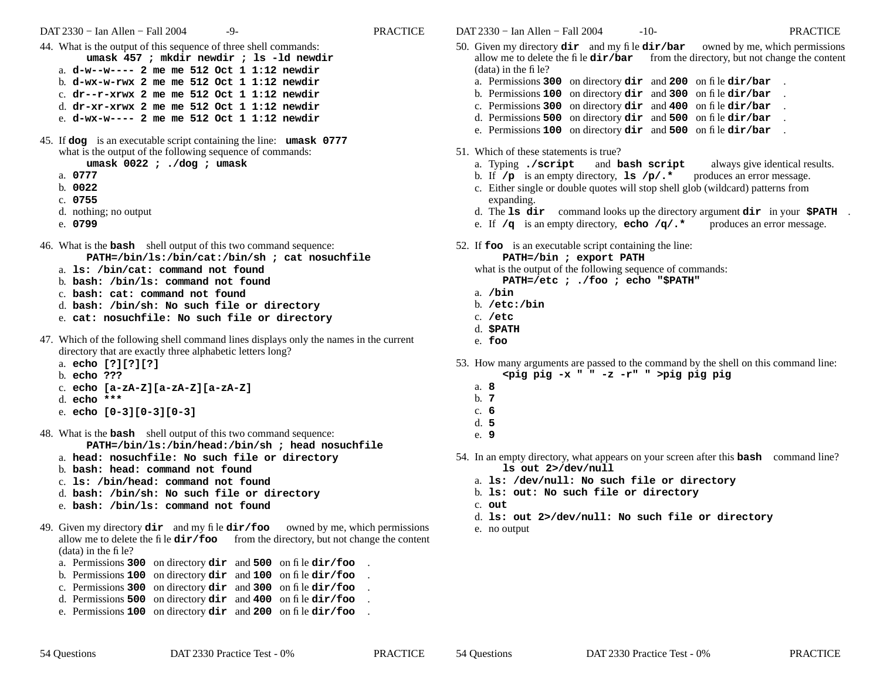- 44. What is the output of this sequence of three shell commands: **umask 457 ; mkdir newdir ; ls -ld newdir** a. **d-w--w---- 2 me me 512 Oct 1 1:12 newdir**b. **d-wx-w-rwx 2 me me 512 Oct 1 1:12 newdir**c. **dr--r-xrwx 2 me me 512 Oct 1 1:12 newdir**d. **dr-xr-xrwx 2 me me 512 Oct 1 1:12 newdir**e. **d-wx-w---- 2 me me 512 Oct 1 1:12 newdir**
- 45. If **dog** is an executable script containing the line: **umask 0777** what is the output of the following sequence of commands:

**umask 0022 ; ./dog ; umask**

- a. **0777**
- b. **0022**
- c. **0755**
- d. nothing; no output
- e. **0799**
- 46. What is the **bash** shell output of this two command sequence: **PATH=/bin/ls:/bin/cat:/bin/sh ; cat nosuchfile**
	- a. **ls: /bin/cat: command not found**
	- b. **bash: /bin/ls: command not found**
	- c. **bash: cat: command not found**
	- d. **bash: /bin/sh: No such file or directory**
	- e. **cat: nosuchfile: No such file or directory**
- 47. Which of the following shell command lines displays only the names in the current directory that are exactly three alphabetic letters long?
	- a. **echo [?][?][?]**
	- b. **echo ???**
	- c. **echo [a-zA-Z][a-zA-Z][a-zA-Z]**
	- d. **echo \*\*\***
	- e. **echo [0-3][0-3][0-3]**
- 48. What is the **bash** shell output of this two command sequence: **PATH=/bin/ls:/bin/head:/bin/sh ; head nosuchfile**
	- a. **head: nosuchfile: No such file or directory**
	- b. **bash: head: command not found**
	- c. **ls: /bin/head: command not found**
	- d. **bash: /bin/sh: No such file or directory**
	- e. **bash: /bin/ls: command not found**
- 49. Given my directory **dir** and my file **dir/foo** owned by me, which permissions allow me to delete the file  $\text{dir}/\text{foo}$  from the directory, but not change the content (data) in the file?
	- a. Permissions **300** on directory **dir** and **<sup>500</sup>** on file **dir/foo** .
	- b. Permissions **100** on directory **dir** and **100** on file **dir/foo** .
	- c. Permissions **300** on directory **dir** and **300** on file **dir/foo** .
	- d. Permissions **500** on directory **dir** and **400** on file **dir/foo** .
	- e. Permissions **100** on directory **dir** and **200** on file **dir/foo** .
- 50. Given my directory **dir** and my file **dir/bar** owned by me, which permissions allow me to delete the file **dir/bar** from the directory, but not change the content (data) in the file?
	- a. Permissions **300** on directory **dir** and **200** on file **dir/bar** .
	- b. Permissions **100** on directory **dir** and **300** on file **dir/bar** .
	- c. Permissions **300** on directory **dir** and **400** on file **dir/bar** .
	- d. Permissions **500** on directory **dir** and **500** on file **dir/bar** .
	- e. Permissions **100** on directory **dir** and **500** on file **dir/bar** .
- 51. Which of these statements is true?
	- a. Typing **./script** and **bash script** always give identical results.
	- b. If **/p** is an empty directory, **ls /p/.\*** produces an error message.
	- c. Either single or double quotes will stop shell glob (wildcard) patterns from expanding.
	- d. The **ls dir** command looks up the directory argument **dir** in your **\$PATH** .
	- e. If **/q** is an empty directory, **echo /q/.\*** produces an error message.
- 52. If **foo** is an executable script containing the line:

#### **PATH=/bin ; export PATH**

- what is the output of the following sequence of commands:
	- **PATH=/etc ; ./foo ; echo "\$PATH"**
- a. **/bin**
- b. **/etc:/bin**
- c. **/etc**
- d. **\$PATH**
- e. **foo**
- 53. How many arguments are passed to the command by the shell on this command line:
	- **<pig pig -x " " -z -r" " >pig pig pig**
	- a. **8**
	- b. **7**
	- c. **6**
	- d. **5**e. **9**
- 54. In an empty directory, what appears on your screen after this **bash** command line?
	- **ls out 2>/dev/null**
	- a. **ls: /dev/null: No such file or directory**
	- b. **ls: out: No such file or directory**
	- c. **out**
	- d. **ls: out 2>/dev/null: No such file or directory**
	- e. no output